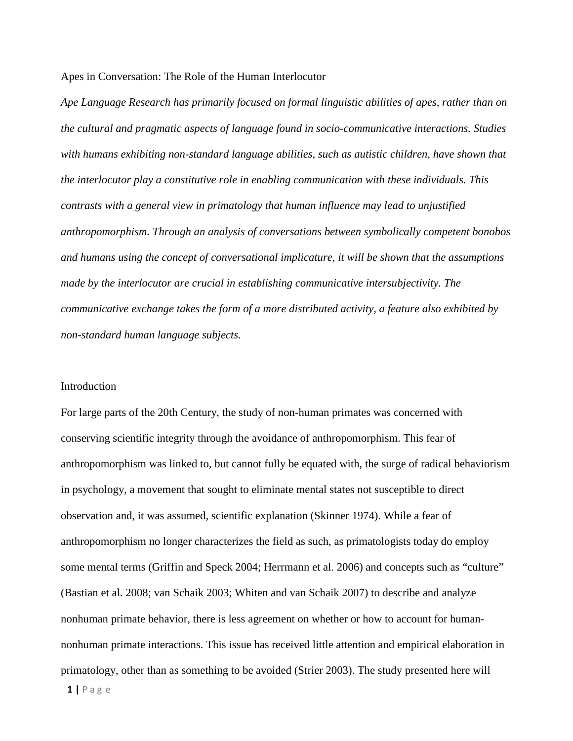#### Apes in Conversation: The Role of the Human Interlocutor

*Ape Language Research has primarily focused on formal linguistic abilities of apes, rather than on the cultural and pragmatic aspects of language found in socio-communicative interactions. Studies with humans exhibiting non-standard language abilities, such as autistic children, have shown that the interlocutor play a constitutive role in enabling communication with these individuals. This contrasts with a general view in primatology that human influence may lead to unjustified anthropomorphism. Through an analysis of conversations between symbolically competent bonobos and humans using the concept of conversational implicature, it will be shown that the assumptions made by the interlocutor are crucial in establishing communicative intersubjectivity. The communicative exchange takes the form of a more distributed activity, a feature also exhibited by non-standard human language subjects.*

#### Introduction

For large parts of the 20th Century, the study of non-human primates was concerned with conserving scientific integrity through the avoidance of anthropomorphism. This fear of anthropomorphism was linked to, but cannot fully be equated with, the surge of radical behaviorism in psychology, a movement that sought to eliminate mental states not susceptible to direct observation and, it was assumed, scientific explanation (Skinner 1974). While a fear of anthropomorphism no longer characterizes the field as such, as primatologists today do employ some mental terms (Griffin and Speck 2004; Herrmann et al. 2006) and concepts such as "culture" (Bastian et al. 2008; van Schaik 2003; Whiten and van Schaik 2007) to describe and analyze nonhuman primate behavior, there is less agreement on whether or how to account for humannonhuman primate interactions. This issue has received little attention and empirical elaboration in primatology, other than as something to be avoided (Strier 2003). The study presented here will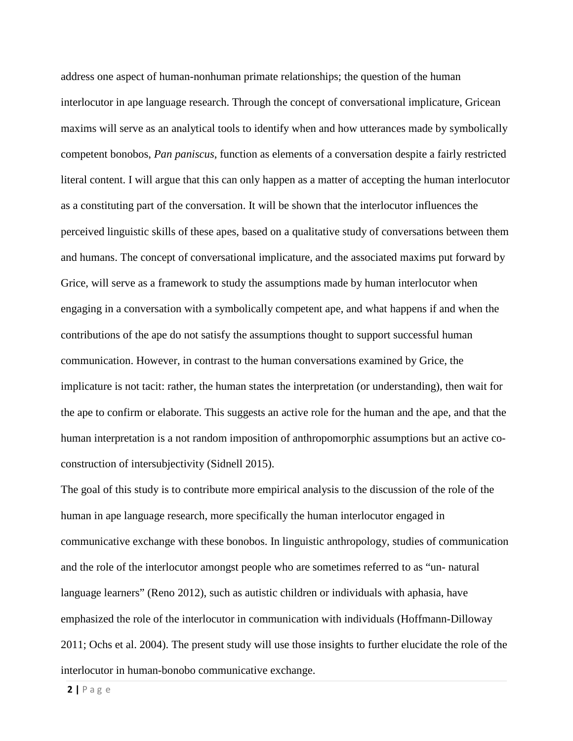address one aspect of human-nonhuman primate relationships; the question of the human interlocutor in ape language research. Through the concept of conversational implicature, Gricean maxims will serve as an analytical tools to identify when and how utterances made by symbolically competent bonobos, *Pan paniscus*, function as elements of a conversation despite a fairly restricted literal content. I will argue that this can only happen as a matter of accepting the human interlocutor as a constituting part of the conversation. It will be shown that the interlocutor influences the perceived linguistic skills of these apes, based on a qualitative study of conversations between them and humans. The concept of conversational implicature, and the associated maxims put forward by Grice, will serve as a framework to study the assumptions made by human interlocutor when engaging in a conversation with a symbolically competent ape, and what happens if and when the contributions of the ape do not satisfy the assumptions thought to support successful human communication. However, in contrast to the human conversations examined by Grice, the implicature is not tacit: rather, the human states the interpretation (or understanding), then wait for the ape to confirm or elaborate. This suggests an active role for the human and the ape, and that the human interpretation is a not random imposition of anthropomorphic assumptions but an active coconstruction of intersubjectivity (Sidnell 2015).

The goal of this study is to contribute more empirical analysis to the discussion of the role of the human in ape language research, more specifically the human interlocutor engaged in communicative exchange with these bonobos. In linguistic anthropology, studies of communication and the role of the interlocutor amongst people who are sometimes referred to as "un- natural language learners" (Reno 2012), such as autistic children or individuals with aphasia, have emphasized the role of the interlocutor in communication with individuals (Hoffmann-Dilloway 2011; Ochs et al. 2004). The present study will use those insights to further elucidate the role of the interlocutor in human-bonobo communicative exchange.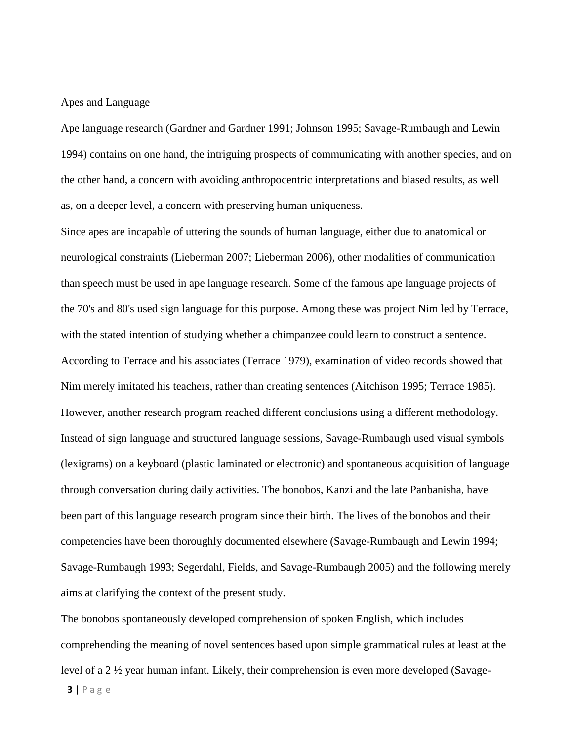#### Apes and Language

Ape language research (Gardner and Gardner 1991; Johnson 1995; Savage-Rumbaugh and Lewin 1994) contains on one hand, the intriguing prospects of communicating with another species, and on the other hand, a concern with avoiding anthropocentric interpretations and biased results, as well as, on a deeper level, a concern with preserving human uniqueness.

Since apes are incapable of uttering the sounds of human language, either due to anatomical or neurological constraints (Lieberman 2007; Lieberman 2006), other modalities of communication than speech must be used in ape language research. Some of the famous ape language projects of the 70's and 80's used sign language for this purpose. Among these was project Nim led by Terrace, with the stated intention of studying whether a chimpanzee could learn to construct a sentence. According to Terrace and his associates (Terrace 1979), examination of video records showed that Nim merely imitated his teachers, rather than creating sentences (Aitchison 1995; Terrace 1985). However, another research program reached different conclusions using a different methodology. Instead of sign language and structured language sessions, Savage-Rumbaugh used visual symbols (lexigrams) on a keyboard (plastic laminated or electronic) and spontaneous acquisition of language through conversation during daily activities. The bonobos, Kanzi and the late Panbanisha, have been part of this language research program since their birth. The lives of the bonobos and their competencies have been thoroughly documented elsewhere (Savage-Rumbaugh and Lewin 1994; Savage-Rumbaugh 1993; Segerdahl, Fields, and Savage-Rumbaugh 2005) and the following merely aims at clarifying the context of the present study.

The bonobos spontaneously developed comprehension of spoken English, which includes comprehending the meaning of novel sentences based upon simple grammatical rules at least at the level of a 2 ½ year human infant. Likely, their comprehension is even more developed (Savage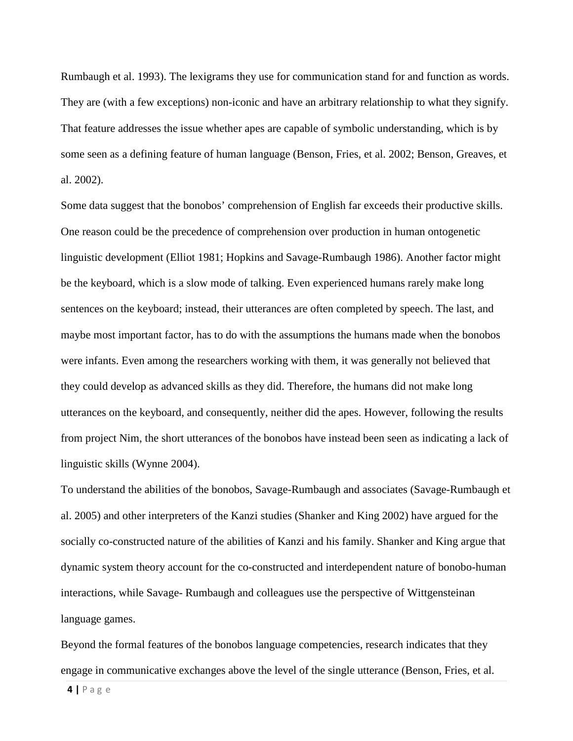Rumbaugh et al. 1993). The lexigrams they use for communication stand for and function as words. They are (with a few exceptions) non-iconic and have an arbitrary relationship to what they signify. That feature addresses the issue whether apes are capable of symbolic understanding, which is by some seen as a defining feature of human language (Benson, Fries, et al. 2002; Benson, Greaves, et al. 2002).

Some data suggest that the bonobos' comprehension of English far exceeds their productive skills. One reason could be the precedence of comprehension over production in human ontogenetic linguistic development (Elliot 1981; Hopkins and Savage-Rumbaugh 1986). Another factor might be the keyboard, which is a slow mode of talking. Even experienced humans rarely make long sentences on the keyboard; instead, their utterances are often completed by speech. The last, and maybe most important factor, has to do with the assumptions the humans made when the bonobos were infants. Even among the researchers working with them, it was generally not believed that they could develop as advanced skills as they did. Therefore, the humans did not make long utterances on the keyboard, and consequently, neither did the apes. However, following the results from project Nim, the short utterances of the bonobos have instead been seen as indicating a lack of linguistic skills (Wynne 2004).

To understand the abilities of the bonobos, Savage-Rumbaugh and associates (Savage-Rumbaugh et al. 2005) and other interpreters of the Kanzi studies (Shanker and King 2002) have argued for the socially co-constructed nature of the abilities of Kanzi and his family. Shanker and King argue that dynamic system theory account for the co-constructed and interdependent nature of bonobo-human interactions, while Savage- Rumbaugh and colleagues use the perspective of Wittgensteinan language games.

Beyond the formal features of the bonobos language competencies, research indicates that they engage in communicative exchanges above the level of the single utterance (Benson, Fries, et al.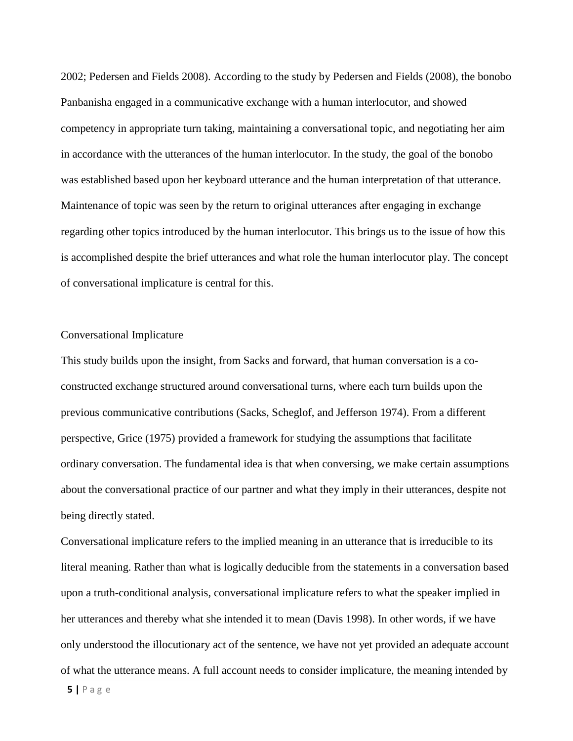2002; Pedersen and Fields 2008). According to the study by Pedersen and Fields (2008), the bonobo Panbanisha engaged in a communicative exchange with a human interlocutor, and showed competency in appropriate turn taking, maintaining a conversational topic, and negotiating her aim in accordance with the utterances of the human interlocutor. In the study, the goal of the bonobo was established based upon her keyboard utterance and the human interpretation of that utterance. Maintenance of topic was seen by the return to original utterances after engaging in exchange regarding other topics introduced by the human interlocutor. This brings us to the issue of how this is accomplished despite the brief utterances and what role the human interlocutor play. The concept of conversational implicature is central for this.

#### Conversational Implicature

This study builds upon the insight, from Sacks and forward, that human conversation is a coconstructed exchange structured around conversational turns, where each turn builds upon the previous communicative contributions (Sacks, Scheglof, and Jefferson 1974). From a different perspective, Grice (1975) provided a framework for studying the assumptions that facilitate ordinary conversation. The fundamental idea is that when conversing, we make certain assumptions about the conversational practice of our partner and what they imply in their utterances, despite not being directly stated.

Conversational implicature refers to the implied meaning in an utterance that is irreducible to its literal meaning. Rather than what is logically deducible from the statements in a conversation based upon a truth-conditional analysis, conversational implicature refers to what the speaker implied in her utterances and thereby what she intended it to mean (Davis 1998). In other words, if we have only understood the illocutionary act of the sentence, we have not yet provided an adequate account of what the utterance means. A full account needs to consider implicature, the meaning intended by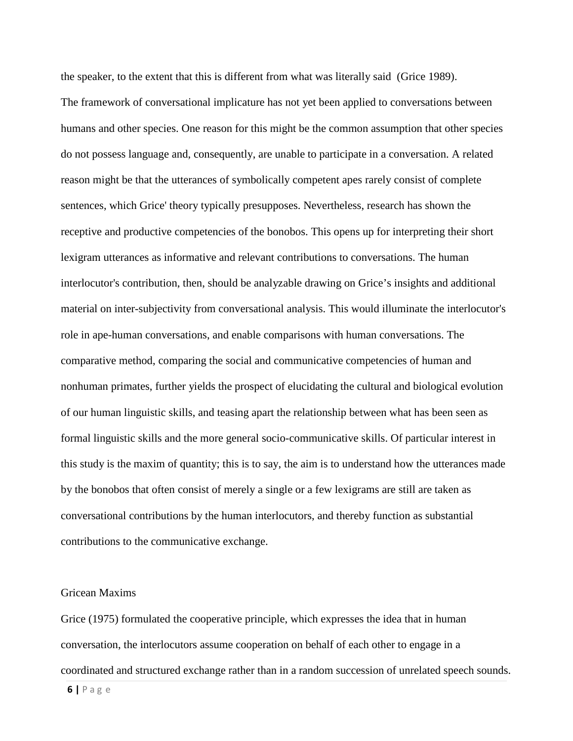the speaker, to the extent that this is different from what was literally said (Grice 1989). The framework of conversational implicature has not yet been applied to conversations between humans and other species. One reason for this might be the common assumption that other species do not possess language and, consequently, are unable to participate in a conversation. A related reason might be that the utterances of symbolically competent apes rarely consist of complete sentences, which Grice' theory typically presupposes. Nevertheless, research has shown the receptive and productive competencies of the bonobos. This opens up for interpreting their short lexigram utterances as informative and relevant contributions to conversations. The human interlocutor's contribution, then, should be analyzable drawing on Grice's insights and additional material on inter-subjectivity from conversational analysis. This would illuminate the interlocutor's role in ape-human conversations, and enable comparisons with human conversations. The comparative method, comparing the social and communicative competencies of human and nonhuman primates, further yields the prospect of elucidating the cultural and biological evolution of our human linguistic skills, and teasing apart the relationship between what has been seen as formal linguistic skills and the more general socio-communicative skills. Of particular interest in this study is the maxim of quantity; this is to say, the aim is to understand how the utterances made by the bonobos that often consist of merely a single or a few lexigrams are still are taken as conversational contributions by the human interlocutors, and thereby function as substantial contributions to the communicative exchange.

## Gricean Maxims

Grice (1975) formulated the cooperative principle, which expresses the idea that in human conversation, the interlocutors assume cooperation on behalf of each other to engage in a coordinated and structured exchange rather than in a random succession of unrelated speech sounds.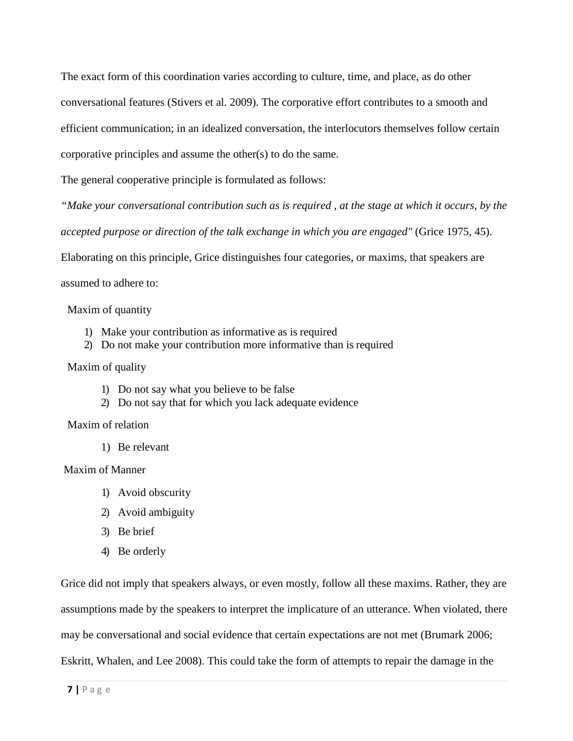The exact form of this coordination varies according to culture, time, and place, as do other conversational features (Stivers et al. 2009). The corporative effort contributes to a smooth and efficient communication; in an idealized conversation, the interlocutors themselves follow certain corporative principles and assume the other(s) to do the same.

The general cooperative principle is formulated as follows:

*"Make your conversational contribution such as is required , at the stage at which it occurs, by the accepted purpose or direction of the talk exchange in which you are engaged"* (Grice 1975, 45).

Elaborating on this principle, Grice distinguishes four categories, or maxims, that speakers are

assumed to adhere to:

Maxim of quantity

- 1) Make your contribution as informative as is required
- 2) Do not make your contribution more informative than is required

## Maxim of quality

- 1) Do not say what you believe to be false
- 2) Do not say that for which you lack adequate evidence

## Maxim of relation

1) Be relevant

## Maxim of Manner

- 1) Avoid obscurity
- 2) Avoid ambiguity
- 3) Be brief
- 4) Be orderly

Grice did not imply that speakers always, or even mostly, follow all these maxims. Rather, they are assumptions made by the speakers to interpret the implicature of an utterance. When violated, there may be conversational and social evidence that certain expectations are not met (Brumark 2006; Eskritt, Whalen, and Lee 2008). This could take the form of attempts to repair the damage in the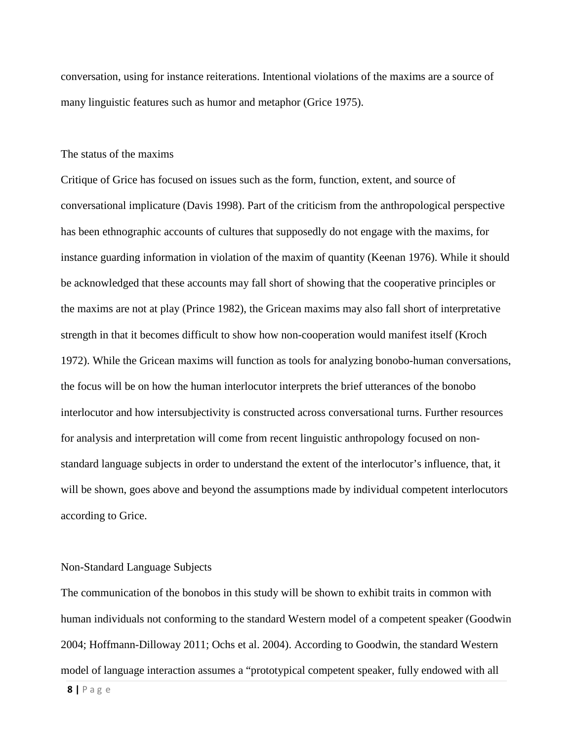conversation, using for instance reiterations. Intentional violations of the maxims are a source of many linguistic features such as humor and metaphor (Grice 1975).

## The status of the maxims

Critique of Grice has focused on issues such as the form, function, extent, and source of conversational implicature (Davis 1998). Part of the criticism from the anthropological perspective has been ethnographic accounts of cultures that supposedly do not engage with the maxims, for instance guarding information in violation of the maxim of quantity (Keenan 1976). While it should be acknowledged that these accounts may fall short of showing that the cooperative principles or the maxims are not at play (Prince 1982), the Gricean maxims may also fall short of interpretative strength in that it becomes difficult to show how non-cooperation would manifest itself (Kroch 1972). While the Gricean maxims will function as tools for analyzing bonobo-human conversations, the focus will be on how the human interlocutor interprets the brief utterances of the bonobo interlocutor and how intersubjectivity is constructed across conversational turns. Further resources for analysis and interpretation will come from recent linguistic anthropology focused on nonstandard language subjects in order to understand the extent of the interlocutor's influence, that, it will be shown, goes above and beyond the assumptions made by individual competent interlocutors according to Grice.

#### Non-Standard Language Subjects

The communication of the bonobos in this study will be shown to exhibit traits in common with human individuals not conforming to the standard Western model of a competent speaker (Goodwin 2004; Hoffmann-Dilloway 2011; Ochs et al. 2004). According to Goodwin, the standard Western model of language interaction assumes a "prototypical competent speaker, fully endowed with all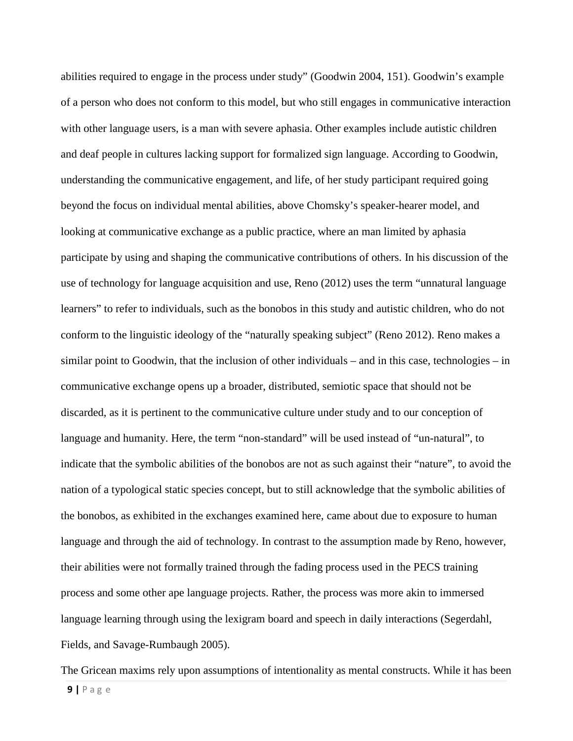abilities required to engage in the process under study" (Goodwin 2004, 151). Goodwin's example of a person who does not conform to this model, but who still engages in communicative interaction with other language users, is a man with severe aphasia. Other examples include autistic children and deaf people in cultures lacking support for formalized sign language. According to Goodwin, understanding the communicative engagement, and life, of her study participant required going beyond the focus on individual mental abilities, above Chomsky's speaker-hearer model, and looking at communicative exchange as a public practice, where an man limited by aphasia participate by using and shaping the communicative contributions of others. In his discussion of the use of technology for language acquisition and use, Reno (2012) uses the term "unnatural language learners" to refer to individuals, such as the bonobos in this study and autistic children, who do not conform to the linguistic ideology of the "naturally speaking subject" (Reno 2012). Reno makes a similar point to Goodwin, that the inclusion of other individuals – and in this case, technologies – in communicative exchange opens up a broader, distributed, semiotic space that should not be discarded, as it is pertinent to the communicative culture under study and to our conception of language and humanity. Here, the term "non-standard" will be used instead of "un-natural", to indicate that the symbolic abilities of the bonobos are not as such against their "nature", to avoid the nation of a typological static species concept, but to still acknowledge that the symbolic abilities of the bonobos, as exhibited in the exchanges examined here, came about due to exposure to human language and through the aid of technology. In contrast to the assumption made by Reno, however, their abilities were not formally trained through the fading process used in the PECS training process and some other ape language projects. Rather, the process was more akin to immersed language learning through using the lexigram board and speech in daily interactions (Segerdahl, Fields, and Savage-Rumbaugh 2005).

The Gricean maxims rely upon assumptions of intentionality as mental constructs. While it has been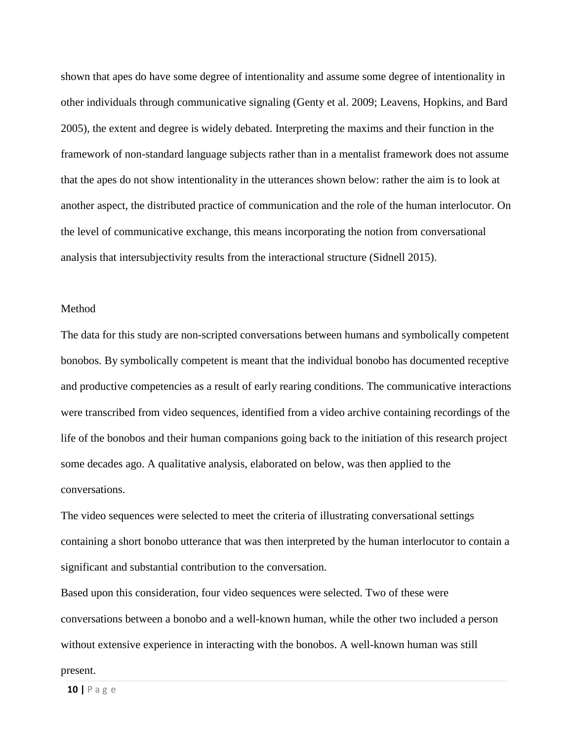shown that apes do have some degree of intentionality and assume some degree of intentionality in other individuals through communicative signaling (Genty et al. 2009; Leavens, Hopkins, and Bard 2005), the extent and degree is widely debated. Interpreting the maxims and their function in the framework of non-standard language subjects rather than in a mentalist framework does not assume that the apes do not show intentionality in the utterances shown below: rather the aim is to look at another aspect, the distributed practice of communication and the role of the human interlocutor. On the level of communicative exchange, this means incorporating the notion from conversational analysis that intersubjectivity results from the interactional structure (Sidnell 2015).

#### Method

The data for this study are non-scripted conversations between humans and symbolically competent bonobos. By symbolically competent is meant that the individual bonobo has documented receptive and productive competencies as a result of early rearing conditions. The communicative interactions were transcribed from video sequences, identified from a video archive containing recordings of the life of the bonobos and their human companions going back to the initiation of this research project some decades ago. A qualitative analysis, elaborated on below, was then applied to the conversations.

The video sequences were selected to meet the criteria of illustrating conversational settings containing a short bonobo utterance that was then interpreted by the human interlocutor to contain a significant and substantial contribution to the conversation.

Based upon this consideration, four video sequences were selected. Two of these were conversations between a bonobo and a well-known human, while the other two included a person without extensive experience in interacting with the bonobos. A well-known human was still

#### present.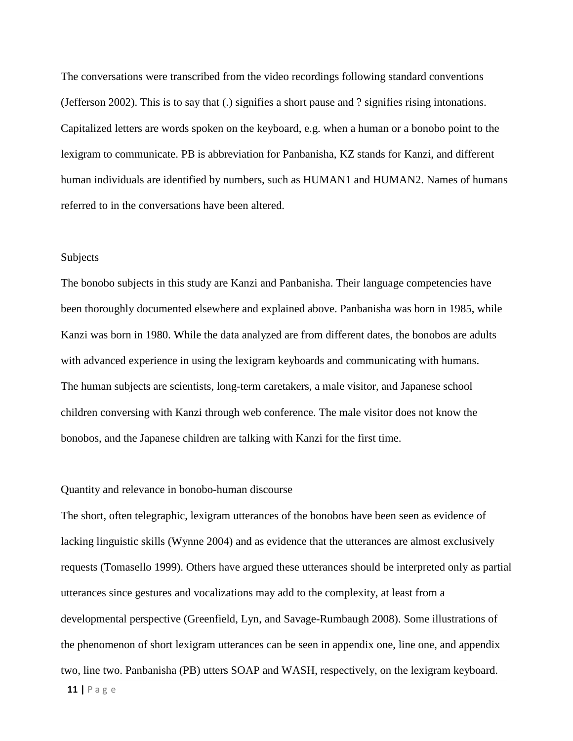The conversations were transcribed from the video recordings following standard conventions (Jefferson 2002). This is to say that (.) signifies a short pause and ? signifies rising intonations. Capitalized letters are words spoken on the keyboard, e.g. when a human or a bonobo point to the lexigram to communicate. PB is abbreviation for Panbanisha, KZ stands for Kanzi, and different human individuals are identified by numbers, such as HUMAN1 and HUMAN2. Names of humans referred to in the conversations have been altered.

#### Subjects

The bonobo subjects in this study are Kanzi and Panbanisha. Their language competencies have been thoroughly documented elsewhere and explained above. Panbanisha was born in 1985, while Kanzi was born in 1980. While the data analyzed are from different dates, the bonobos are adults with advanced experience in using the lexigram keyboards and communicating with humans. The human subjects are scientists, long-term caretakers, a male visitor, and Japanese school children conversing with Kanzi through web conference. The male visitor does not know the bonobos, and the Japanese children are talking with Kanzi for the first time.

#### Quantity and relevance in bonobo-human discourse

The short, often telegraphic, lexigram utterances of the bonobos have been seen as evidence of lacking linguistic skills (Wynne 2004) and as evidence that the utterances are almost exclusively requests (Tomasello 1999). Others have argued these utterances should be interpreted only as partial utterances since gestures and vocalizations may add to the complexity, at least from a developmental perspective (Greenfield, Lyn, and Savage-Rumbaugh 2008). Some illustrations of the phenomenon of short lexigram utterances can be seen in appendix one, line one, and appendix two, line two. Panbanisha (PB) utters SOAP and WASH, respectively, on the lexigram keyboard.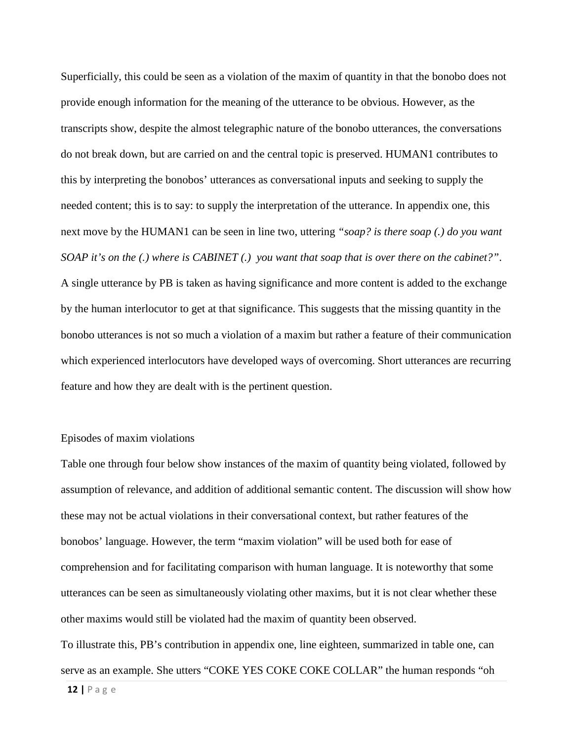Superficially, this could be seen as a violation of the maxim of quantity in that the bonobo does not provide enough information for the meaning of the utterance to be obvious. However, as the transcripts show, despite the almost telegraphic nature of the bonobo utterances, the conversations do not break down, but are carried on and the central topic is preserved. HUMAN1 contributes to this by interpreting the bonobos' utterances as conversational inputs and seeking to supply the needed content; this is to say: to supply the interpretation of the utterance. In appendix one, this next move by the HUMAN1 can be seen in line two, uttering *"soap? is there soap (.) do you want SOAP it's on the (.) where is CABINET (.) you want that soap that is over there on the cabinet?"*. A single utterance by PB is taken as having significance and more content is added to the exchange by the human interlocutor to get at that significance. This suggests that the missing quantity in the bonobo utterances is not so much a violation of a maxim but rather a feature of their communication which experienced interlocutors have developed ways of overcoming. Short utterances are recurring feature and how they are dealt with is the pertinent question.

### Episodes of maxim violations

Table one through four below show instances of the maxim of quantity being violated, followed by assumption of relevance, and addition of additional semantic content. The discussion will show how these may not be actual violations in their conversational context, but rather features of the bonobos' language. However, the term "maxim violation" will be used both for ease of comprehension and for facilitating comparison with human language. It is noteworthy that some utterances can be seen as simultaneously violating other maxims, but it is not clear whether these other maxims would still be violated had the maxim of quantity been observed.

To illustrate this, PB's contribution in appendix one, line eighteen, summarized in table one, can serve as an example. She utters "COKE YES COKE COKE COLLAR" the human responds "oh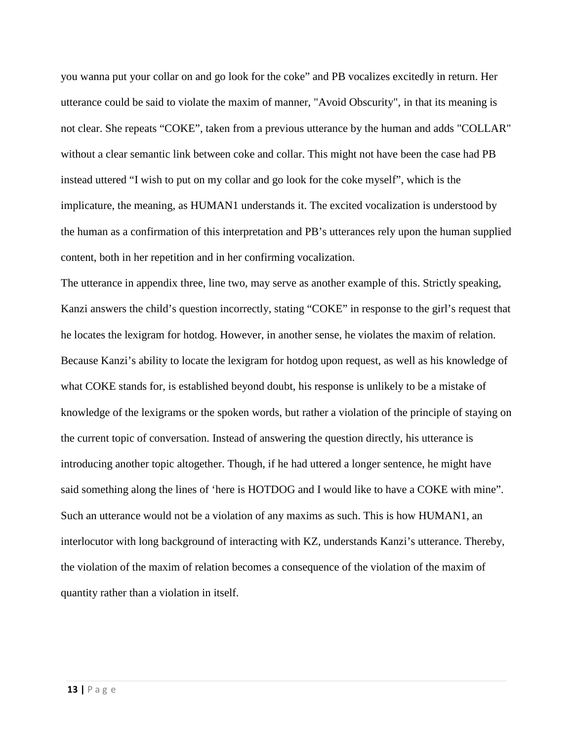you wanna put your collar on and go look for the coke" and PB vocalizes excitedly in return. Her utterance could be said to violate the maxim of manner, "Avoid Obscurity", in that its meaning is not clear. She repeats "COKE", taken from a previous utterance by the human and adds "COLLAR" without a clear semantic link between coke and collar. This might not have been the case had PB instead uttered "I wish to put on my collar and go look for the coke myself", which is the implicature, the meaning, as HUMAN1 understands it. The excited vocalization is understood by the human as a confirmation of this interpretation and PB's utterances rely upon the human supplied content, both in her repetition and in her confirming vocalization.

The utterance in appendix three, line two, may serve as another example of this. Strictly speaking, Kanzi answers the child's question incorrectly, stating "COKE" in response to the girl's request that he locates the lexigram for hotdog. However, in another sense, he violates the maxim of relation. Because Kanzi's ability to locate the lexigram for hotdog upon request, as well as his knowledge of what COKE stands for, is established beyond doubt, his response is unlikely to be a mistake of knowledge of the lexigrams or the spoken words, but rather a violation of the principle of staying on the current topic of conversation. Instead of answering the question directly, his utterance is introducing another topic altogether. Though, if he had uttered a longer sentence, he might have said something along the lines of 'here is HOTDOG and I would like to have a COKE with mine". Such an utterance would not be a violation of any maxims as such. This is how HUMAN1, an interlocutor with long background of interacting with KZ, understands Kanzi's utterance. Thereby, the violation of the maxim of relation becomes a consequence of the violation of the maxim of quantity rather than a violation in itself.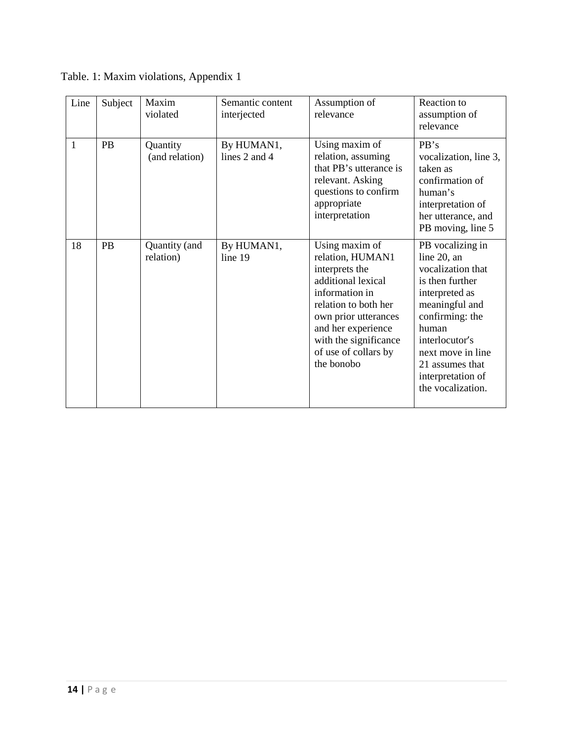| Line | Subject   | Maxim<br>violated          | Semantic content<br>interjected | Assumption of<br>relevance                                                                                                                                                                                                        | Reaction to<br>assumption of<br>relevance                                                                                                                                                                                                   |
|------|-----------|----------------------------|---------------------------------|-----------------------------------------------------------------------------------------------------------------------------------------------------------------------------------------------------------------------------------|---------------------------------------------------------------------------------------------------------------------------------------------------------------------------------------------------------------------------------------------|
| 1    | <b>PB</b> | Quantity<br>(and relation) | By HUMAN1,<br>lines 2 and 4     | Using maxim of<br>relation, assuming<br>that PB's utterance is<br>relevant. Asking<br>questions to confirm<br>appropriate<br>interpretation                                                                                       | PB's<br>vocalization, line 3,<br>taken as<br>confirmation of<br>human's<br>interpretation of<br>her utterance, and<br>PB moving, line 5                                                                                                     |
| 18   | PB        | Quantity (and<br>relation) | By HUMAN1,<br>line 19           | Using maxim of<br>relation, HUMAN1<br>interprets the<br>additional lexical<br>information in<br>relation to both her<br>own prior utterances<br>and her experience<br>with the significance<br>of use of collars by<br>the bonobo | PB vocalizing in<br>line 20, an<br>vocalization that<br>is then further<br>interpreted as<br>meaningful and<br>confirming: the<br>human<br>interlocutor's<br>next move in line<br>21 assumes that<br>interpretation of<br>the vocalization. |

Table. 1: Maxim violations, Appendix 1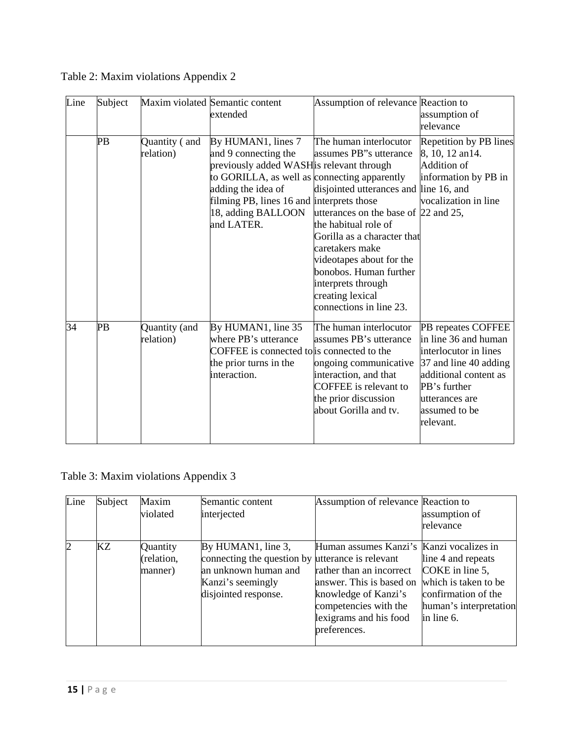| Line            | Subject |                            | Maxim violated Semantic content<br>extended                                                                                                                                                                                                    | Assumption of relevance Reaction to                                                                                                                                                                                                                                                                                                     | assumption of<br>relevance                                                                                                                                                            |
|-----------------|---------|----------------------------|------------------------------------------------------------------------------------------------------------------------------------------------------------------------------------------------------------------------------------------------|-----------------------------------------------------------------------------------------------------------------------------------------------------------------------------------------------------------------------------------------------------------------------------------------------------------------------------------------|---------------------------------------------------------------------------------------------------------------------------------------------------------------------------------------|
|                 | PB      | Quantity (and<br>relation) | By HUMAN1, lines 7<br>and 9 connecting the<br>previously added WASH is relevant through<br>to GORILLA, as well as connecting apparently<br>adding the idea of<br>filming PB, lines 16 and interprets those<br>18, adding BALLOON<br>and LATER. | The human interlocutor<br>assumes PB"s utterance<br>disjointed utterances and line 16, and<br>utterances on the base of 22 and 25,<br>the habitual role of<br>Gorilla as a character that<br>caretakers make<br>videotapes about for the<br>bonobos. Human further<br>interprets through<br>creating lexical<br>connections in line 23. | Repetition by PB lines<br>8, 10, 12 an14.<br>Addition of<br>information by PB in<br>vocalization in line                                                                              |
| $\overline{34}$ | PB      | Quantity (and<br>relation) | By HUMAN1, line 35<br>where PB's utterance<br>COFFEE is connected to is connected to the<br>the prior turns in the<br>interaction.                                                                                                             | The human interlocutor<br>assumes PB's utterance<br>ongoing communicative<br>interaction, and that<br>COFFEE is relevant to<br>the prior discussion<br>about Gorilla and tv.                                                                                                                                                            | PB repeates COFFEE<br>in line 36 and human<br>interlocutor in lines<br>37 and line 40 adding<br>additional content as<br>PB's further<br>utterances are<br>assumed to be<br>relevant. |

Table 2: Maxim violations Appendix 2

# Table 3: Maxim violations Appendix 3

| Line           | Subject | Maxim<br>violated                 | Semantic content<br>interjected                                                                                                             | Assumption of relevance Reaction to                                                                                                                                                         | assumption of<br>relevance                                                                                                   |
|----------------|---------|-----------------------------------|---------------------------------------------------------------------------------------------------------------------------------------------|---------------------------------------------------------------------------------------------------------------------------------------------------------------------------------------------|------------------------------------------------------------------------------------------------------------------------------|
| $\overline{2}$ | KΖ      | Quantity<br>(relation,<br>manner) | By HUMAN1, line 3,<br>connecting the question by utterance is relevant<br>an unknown human and<br>Kanzi's seemingly<br>disjointed response. | Human assumes Kanzi's Kanzi vocalizes in<br>rather than an incorrect<br>answer. This is based on<br>knowledge of Kanzi's<br>competencies with the<br>lexigrams and his food<br>preferences. | line 4 and repeats<br>COKE in line 5,<br>which is taken to be<br>confirmation of the<br>human's interpretation<br>in line 6. |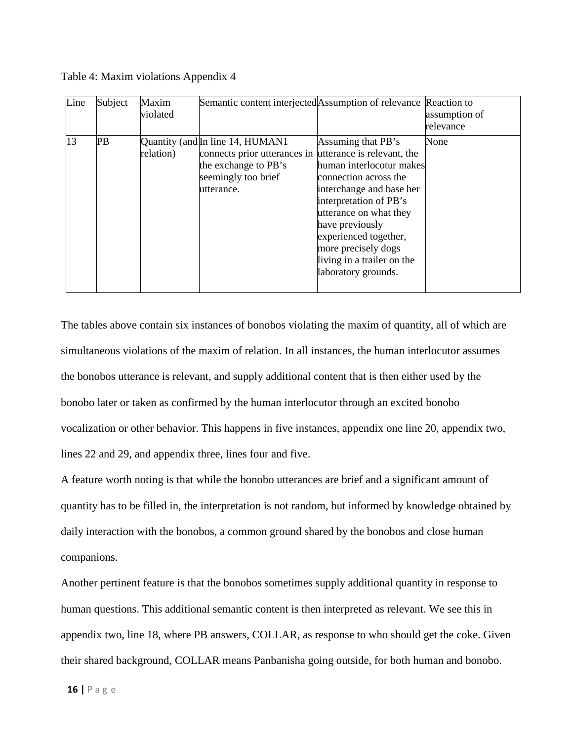| Line | Subject | Maxim<br>violated | Semantic content interjected Assumption of relevance Reaction to                                                                                         |                                                                                                                                                                                                                            | assumption of |
|------|---------|-------------------|----------------------------------------------------------------------------------------------------------------------------------------------------------|----------------------------------------------------------------------------------------------------------------------------------------------------------------------------------------------------------------------------|---------------|
|      |         |                   |                                                                                                                                                          |                                                                                                                                                                                                                            | relevance     |
| 13   | PB      | relation)         | Quantity (and In line 14, HUMAN1<br>connects prior utterances in utterance is relevant, the<br>the exchange to PB's<br>seemingly too brief<br>utterance. | Assuming that PB's<br>human interlocotur makes<br>connection across the<br>interchange and base her<br>interpretation of PB's<br>utterance on what they<br>have previously<br>experienced together,<br>more precisely dogs | None          |
|      |         |                   |                                                                                                                                                          | living in a trailer on the<br>laboratory grounds.                                                                                                                                                                          |               |

Table 4: Maxim violations Appendix 4

The tables above contain six instances of bonobos violating the maxim of quantity, all of which are simultaneous violations of the maxim of relation. In all instances, the human interlocutor assumes the bonobos utterance is relevant, and supply additional content that is then either used by the bonobo later or taken as confirmed by the human interlocutor through an excited bonobo vocalization or other behavior. This happens in five instances, appendix one line 20, appendix two, lines 22 and 29, and appendix three, lines four and five.

A feature worth noting is that while the bonobo utterances are brief and a significant amount of quantity has to be filled in, the interpretation is not random, but informed by knowledge obtained by daily interaction with the bonobos, a common ground shared by the bonobos and close human companions.

Another pertinent feature is that the bonobos sometimes supply additional quantity in response to human questions. This additional semantic content is then interpreted as relevant. We see this in appendix two, line 18, where PB answers, COLLAR, as response to who should get the coke. Given their shared background, COLLAR means Panbanisha going outside, for both human and bonobo.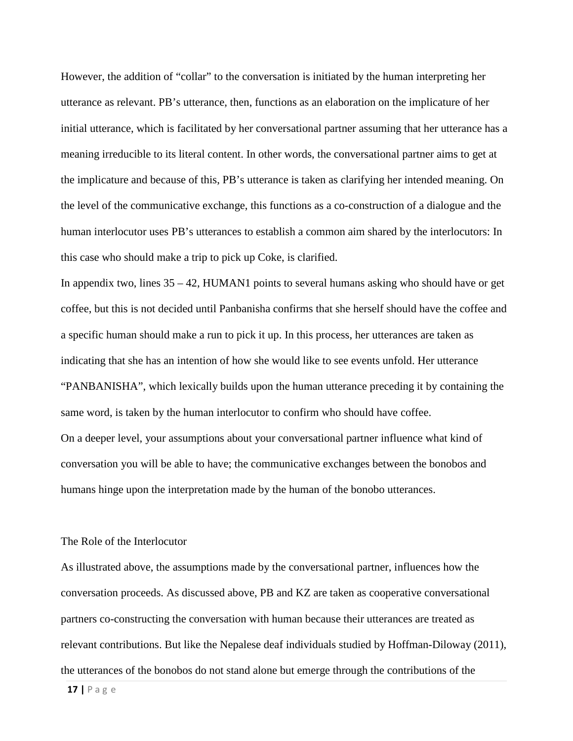However, the addition of "collar" to the conversation is initiated by the human interpreting her utterance as relevant. PB's utterance, then, functions as an elaboration on the implicature of her initial utterance, which is facilitated by her conversational partner assuming that her utterance has a meaning irreducible to its literal content. In other words, the conversational partner aims to get at the implicature and because of this, PB's utterance is taken as clarifying her intended meaning. On the level of the communicative exchange, this functions as a co-construction of a dialogue and the human interlocutor uses PB's utterances to establish a common aim shared by the interlocutors: In this case who should make a trip to pick up Coke, is clarified.

In appendix two, lines  $35 - 42$ , HUMAN1 points to several humans asking who should have or get coffee, but this is not decided until Panbanisha confirms that she herself should have the coffee and a specific human should make a run to pick it up. In this process, her utterances are taken as indicating that she has an intention of how she would like to see events unfold. Her utterance "PANBANISHA", which lexically builds upon the human utterance preceding it by containing the same word, is taken by the human interlocutor to confirm who should have coffee. On a deeper level, your assumptions about your conversational partner influence what kind of conversation you will be able to have; the communicative exchanges between the bonobos and humans hinge upon the interpretation made by the human of the bonobo utterances.

#### The Role of the Interlocutor

As illustrated above, the assumptions made by the conversational partner, influences how the conversation proceeds. As discussed above, PB and KZ are taken as cooperative conversational partners co-constructing the conversation with human because their utterances are treated as relevant contributions. But like the Nepalese deaf individuals studied by Hoffman-Diloway (2011), the utterances of the bonobos do not stand alone but emerge through the contributions of the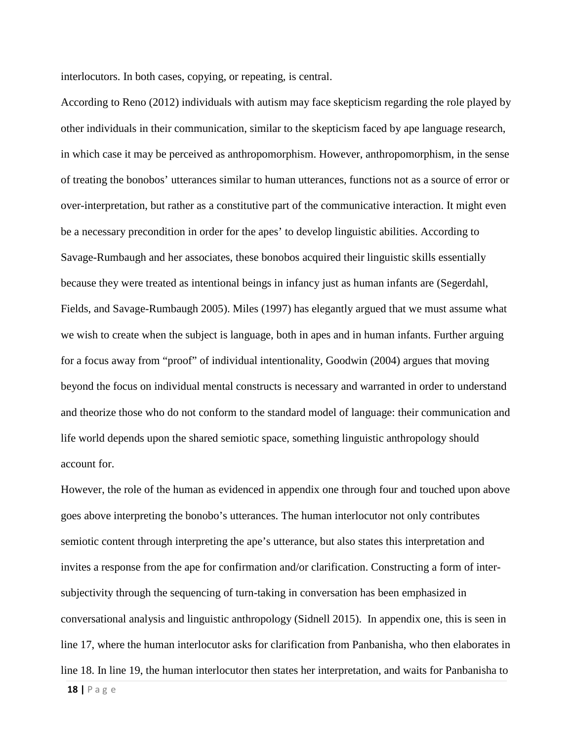interlocutors. In both cases, copying, or repeating, is central.

According to Reno (2012) individuals with autism may face skepticism regarding the role played by other individuals in their communication, similar to the skepticism faced by ape language research, in which case it may be perceived as anthropomorphism. However, anthropomorphism, in the sense of treating the bonobos' utterances similar to human utterances, functions not as a source of error or over-interpretation, but rather as a constitutive part of the communicative interaction. It might even be a necessary precondition in order for the apes' to develop linguistic abilities. According to Savage-Rumbaugh and her associates, these bonobos acquired their linguistic skills essentially because they were treated as intentional beings in infancy just as human infants are (Segerdahl, Fields, and Savage-Rumbaugh 2005). Miles (1997) has elegantly argued that we must assume what we wish to create when the subject is language, both in apes and in human infants. Further arguing for a focus away from "proof" of individual intentionality, Goodwin (2004) argues that moving beyond the focus on individual mental constructs is necessary and warranted in order to understand and theorize those who do not conform to the standard model of language: their communication and life world depends upon the shared semiotic space, something linguistic anthropology should account for.

However, the role of the human as evidenced in appendix one through four and touched upon above goes above interpreting the bonobo's utterances. The human interlocutor not only contributes semiotic content through interpreting the ape's utterance, but also states this interpretation and invites a response from the ape for confirmation and/or clarification. Constructing a form of intersubjectivity through the sequencing of turn-taking in conversation has been emphasized in conversational analysis and linguistic anthropology (Sidnell 2015). In appendix one, this is seen in line 17, where the human interlocutor asks for clarification from Panbanisha, who then elaborates in line 18. In line 19, the human interlocutor then states her interpretation, and waits for Panbanisha to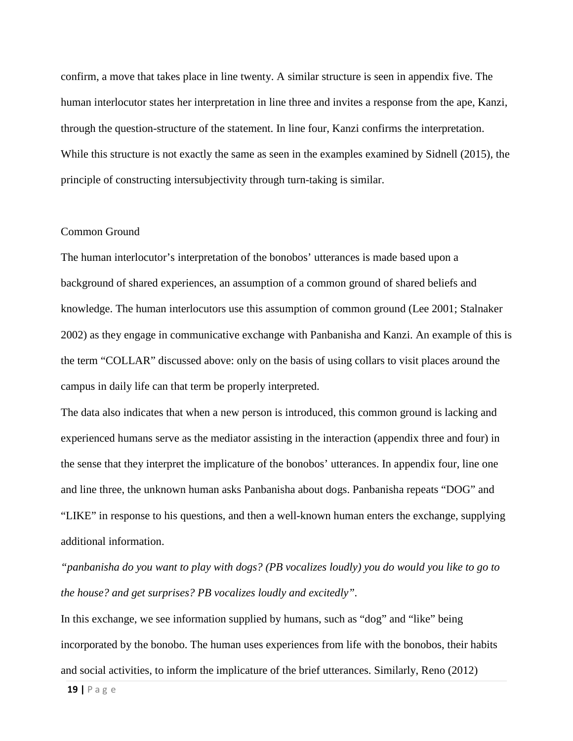confirm, a move that takes place in line twenty. A similar structure is seen in appendix five. The human interlocutor states her interpretation in line three and invites a response from the ape, Kanzi, through the question-structure of the statement. In line four, Kanzi confirms the interpretation. While this structure is not exactly the same as seen in the examples examined by Sidnell (2015), the principle of constructing intersubjectivity through turn-taking is similar.

## Common Ground

The human interlocutor's interpretation of the bonobos' utterances is made based upon a background of shared experiences, an assumption of a common ground of shared beliefs and knowledge. The human interlocutors use this assumption of common ground (Lee 2001; Stalnaker 2002) as they engage in communicative exchange with Panbanisha and Kanzi. An example of this is the term "COLLAR" discussed above: only on the basis of using collars to visit places around the campus in daily life can that term be properly interpreted.

The data also indicates that when a new person is introduced, this common ground is lacking and experienced humans serve as the mediator assisting in the interaction (appendix three and four) in the sense that they interpret the implicature of the bonobos' utterances. In appendix four, line one and line three, the unknown human asks Panbanisha about dogs. Panbanisha repeats "DOG" and "LIKE" in response to his questions, and then a well-known human enters the exchange, supplying additional information.

*"panbanisha do you want to play with dogs? (PB vocalizes loudly) you do would you like to go to the house? and get surprises? PB vocalizes loudly and excitedly".* 

In this exchange, we see information supplied by humans, such as "dog" and "like" being incorporated by the bonobo. The human uses experiences from life with the bonobos, their habits and social activities, to inform the implicature of the brief utterances. Similarly, Reno (2012)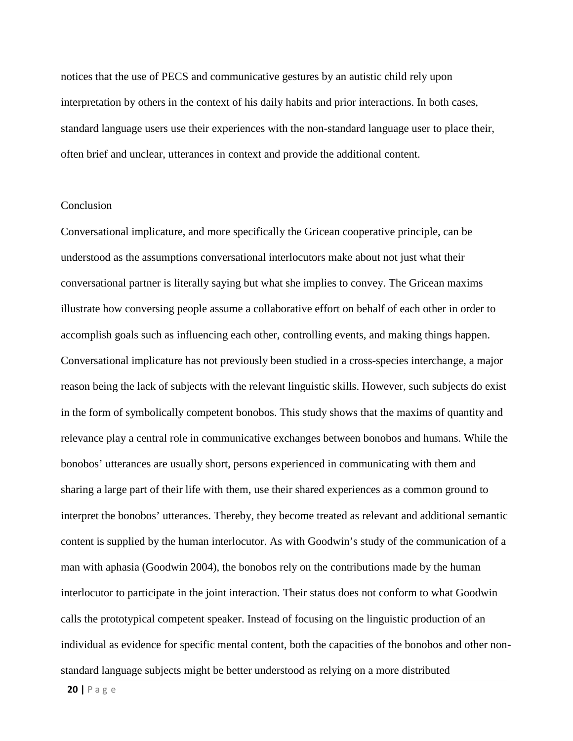notices that the use of PECS and communicative gestures by an autistic child rely upon interpretation by others in the context of his daily habits and prior interactions. In both cases, standard language users use their experiences with the non-standard language user to place their, often brief and unclear, utterances in context and provide the additional content.

#### **Conclusion**

Conversational implicature, and more specifically the Gricean cooperative principle, can be understood as the assumptions conversational interlocutors make about not just what their conversational partner is literally saying but what she implies to convey. The Gricean maxims illustrate how conversing people assume a collaborative effort on behalf of each other in order to accomplish goals such as influencing each other, controlling events, and making things happen. Conversational implicature has not previously been studied in a cross-species interchange, a major reason being the lack of subjects with the relevant linguistic skills. However, such subjects do exist in the form of symbolically competent bonobos. This study shows that the maxims of quantity and relevance play a central role in communicative exchanges between bonobos and humans. While the bonobos' utterances are usually short, persons experienced in communicating with them and sharing a large part of their life with them, use their shared experiences as a common ground to interpret the bonobos' utterances. Thereby, they become treated as relevant and additional semantic content is supplied by the human interlocutor. As with Goodwin's study of the communication of a man with aphasia (Goodwin 2004), the bonobos rely on the contributions made by the human interlocutor to participate in the joint interaction. Their status does not conform to what Goodwin calls the prototypical competent speaker. Instead of focusing on the linguistic production of an individual as evidence for specific mental content, both the capacities of the bonobos and other nonstandard language subjects might be better understood as relying on a more distributed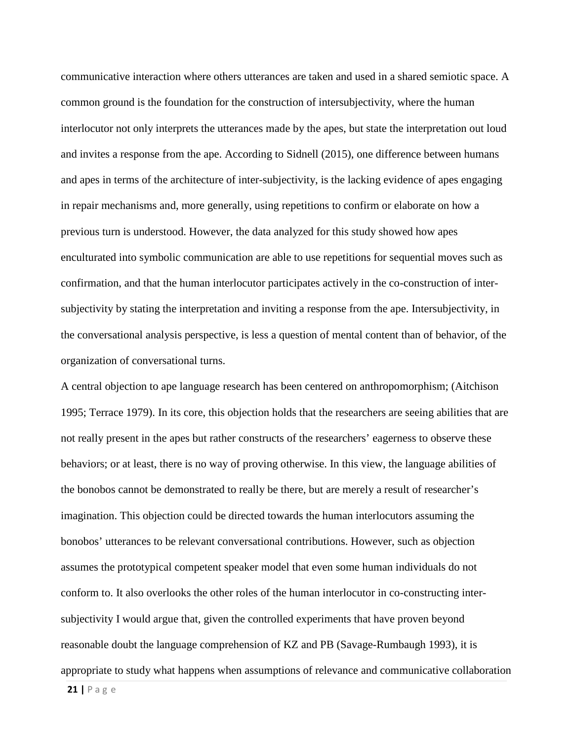communicative interaction where others utterances are taken and used in a shared semiotic space. A common ground is the foundation for the construction of intersubjectivity, where the human interlocutor not only interprets the utterances made by the apes, but state the interpretation out loud and invites a response from the ape. According to Sidnell (2015), one difference between humans and apes in terms of the architecture of inter-subjectivity, is the lacking evidence of apes engaging in repair mechanisms and, more generally, using repetitions to confirm or elaborate on how a previous turn is understood. However, the data analyzed for this study showed how apes enculturated into symbolic communication are able to use repetitions for sequential moves such as confirmation, and that the human interlocutor participates actively in the co-construction of intersubjectivity by stating the interpretation and inviting a response from the ape. Intersubjectivity, in the conversational analysis perspective, is less a question of mental content than of behavior, of the organization of conversational turns.

A central objection to ape language research has been centered on anthropomorphism; (Aitchison 1995; Terrace 1979). In its core, this objection holds that the researchers are seeing abilities that are not really present in the apes but rather constructs of the researchers' eagerness to observe these behaviors; or at least, there is no way of proving otherwise. In this view, the language abilities of the bonobos cannot be demonstrated to really be there, but are merely a result of researcher's imagination. This objection could be directed towards the human interlocutors assuming the bonobos' utterances to be relevant conversational contributions. However, such as objection assumes the prototypical competent speaker model that even some human individuals do not conform to. It also overlooks the other roles of the human interlocutor in co-constructing intersubjectivity I would argue that, given the controlled experiments that have proven beyond reasonable doubt the language comprehension of KZ and PB (Savage-Rumbaugh 1993), it is appropriate to study what happens when assumptions of relevance and communicative collaboration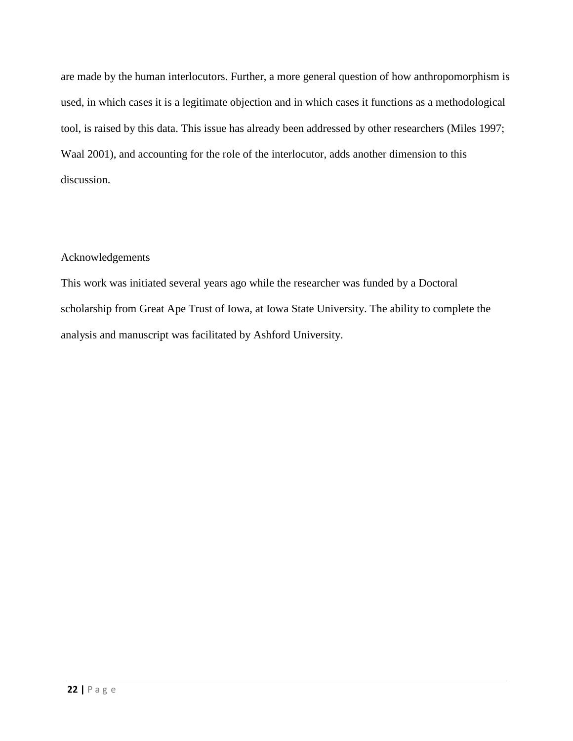are made by the human interlocutors. Further, a more general question of how anthropomorphism is used, in which cases it is a legitimate objection and in which cases it functions as a methodological tool, is raised by this data. This issue has already been addressed by other researchers (Miles 1997; Waal 2001), and accounting for the role of the interlocutor, adds another dimension to this discussion.

## Acknowledgements

This work was initiated several years ago while the researcher was funded by a Doctoral scholarship from Great Ape Trust of Iowa, at Iowa State University. The ability to complete the analysis and manuscript was facilitated by Ashford University.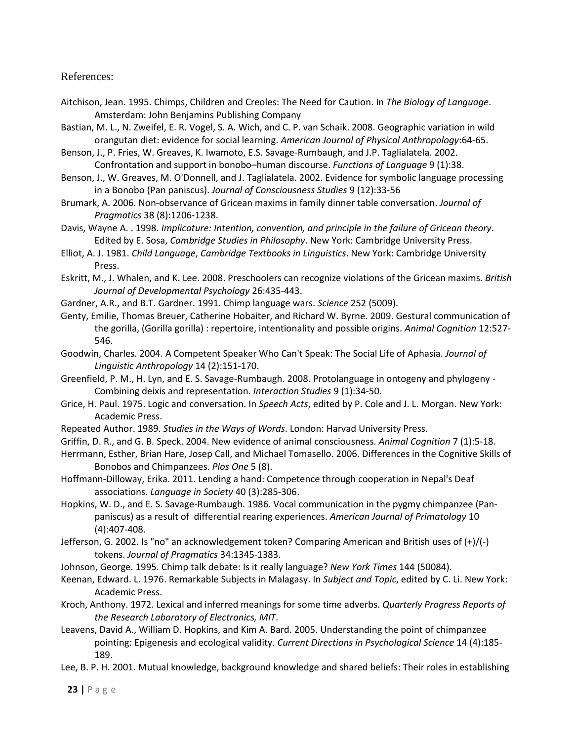## References:

- Aitchison, Jean. 1995. Chimps, Children and Creoles: The Need for Caution. In *The Biology of Language*. Amsterdam: John Benjamins Publishing Company
- Bastian, M. L., N. Zweifel, E. R. Vogel, S. A. Wich, and C. P. van Schaik. 2008. Geographic variation in wild orangutan diet: evidence for social learning. *American Journal of Physical Anthropology*:64-65.
- Benson, J., P. Fries, W. Greaves, K. Iwamoto, E.S. Savage-Rumbaugh, and J.P. Taglialatela. 2002. Confrontation and support in bonobo–human discourse. *Functions of Language* 9 (1):38.
- Benson, J., W. Greaves, M. O'Donnell, and J. Taglialatela. 2002. Evidence for symbolic language processing in a Bonobo (Pan paniscus). *Journal of Consciousness Studies* 9 (12):33-56
- Brumark, A. 2006. Non-observance of Gricean maxims in family dinner table conversation. *Journal of Pragmatics* 38 (8):1206-1238.
- Davis, Wayne A. . 1998. *Implicature: Intention, convention, and principle in the failure of Gricean theory*. Edited by E. Sosa, *Cambridge Studies in Philosophy*. New York: Cambridge University Press.
- Elliot, A. J. 1981. *Child Language*, *Cambridge Textbooks in Linguistics*. New York: Cambridge University Press.
- Eskritt, M., J. Whalen, and K. Lee. 2008. Preschoolers can recognize violations of the Gricean maxims. *British Journal of Developmental Psychology* 26:435-443.
- Gardner, A.R., and B.T. Gardner. 1991. Chimp language wars. *Science* 252 (5009).
- Genty, Emilie, Thomas Breuer, Catherine Hobaiter, and Richard W. Byrne. 2009. Gestural communication of the gorilla, (Gorilla gorilla) : repertoire, intentionality and possible origins. *Animal Cognition* 12:527- 546.
- Goodwin, Charles. 2004. A Competent Speaker Who Can't Speak: The Social Life of Aphasia. *Journal of Linguistic Anthropology* 14 (2):151-170.
- Greenfield, P. M., H. Lyn, and E. S. Savage-Rumbaugh. 2008. Protolanguage in ontogeny and phylogeny Combining deixis and representation. *Interaction Studies* 9 (1):34-50.
- Grice, H. Paul. 1975. Logic and conversation. In *Speech Acts*, edited by P. Cole and J. L. Morgan. New York: Academic Press.
- Repeated Author. 1989. *Studies in the Ways of Words*. London: Harvad University Press.
- Griffin, D. R., and G. B. Speck. 2004. New evidence of animal consciousness. *Animal Cognition* 7 (1):5-18.
- Herrmann, Esther, Brian Hare, Josep Call, and Michael Tomasello. 2006. Differences in the Cognitive Skills of Bonobos and Chimpanzees. *Plos One* 5 (8).
- Hoffmann-Dilloway, Erika. 2011. Lending a hand: Competence through cooperation in Nepal's Deaf associations. *Language in Society* 40 (3):285-306.
- Hopkins, W. D., and E. S. Savage-Rumbaugh. 1986. Vocal communication in the pygmy chimpanzee (Panpaniscus) as a result of differential rearing experiences. *American Journal of Primatology* 10 (4):407-408.
- Jefferson, G. 2002. Is "no" an acknowledgement token? Comparing American and British uses of (+)/(-) tokens. *Journal of Pragmatics* 34:1345-1383.
- Johnson, George. 1995. Chimp talk debate: Is it really language? *New York Times* 144 (50084).
- Keenan, Edward. L. 1976. Remarkable Subjects in Malagasy. In *Subject and Topic*, edited by C. Li. New York: Academic Press.
- Kroch, Anthony. 1972. Lexical and inferred meanings for some time adverbs. *Quarterly Progress Reports of the Research Laboratory of Electronics, MIT*.
- Leavens, David A., William D. Hopkins, and Kim A. Bard. 2005. Understanding the point of chimpanzee pointing: Epigenesis and ecological validity. *Current Directions in Psychological Science* 14 (4):185- 189.
- Lee, B. P. H. 2001. Mutual knowledge, background knowledge and shared beliefs: Their roles in establishing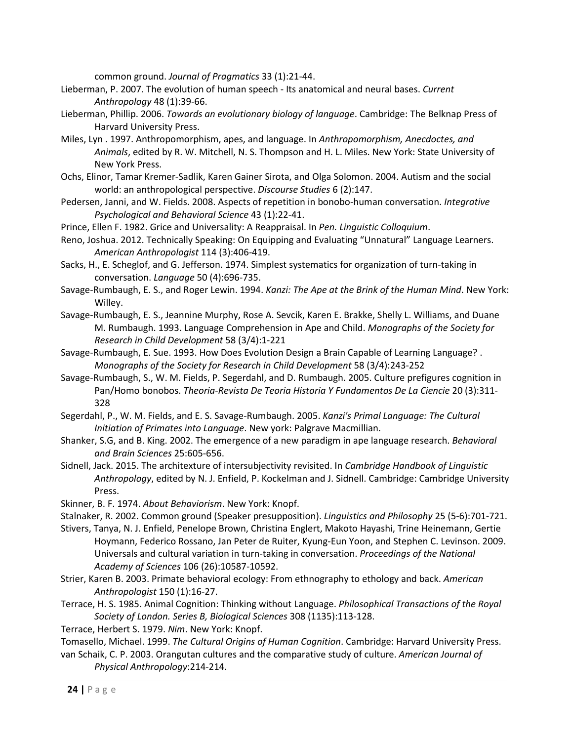common ground. *Journal of Pragmatics* 33 (1):21-44.

- Lieberman, P. 2007. The evolution of human speech Its anatomical and neural bases. *Current Anthropology* 48 (1):39-66.
- Lieberman, Phillip. 2006. *Towards an evolutionary biology of language*. Cambridge: The Belknap Press of Harvard University Press.
- Miles, Lyn . 1997. Anthropomorphism, apes, and language. In *Anthropomorphism, Anecdoctes, and Animals*, edited by R. W. Mitchell, N. S. Thompson and H. L. Miles. New York: State University of New York Press.
- Ochs, Elinor, Tamar Kremer-Sadlik, Karen Gainer Sirota, and Olga Solomon. 2004. Autism and the social world: an anthropological perspective. *Discourse Studies* 6 (2):147.
- Pedersen, Janni, and W. Fields. 2008. Aspects of repetition in bonobo-human conversation. *Integrative Psychological and Behavioral Science* 43 (1):22-41.
- Prince, Ellen F. 1982. Grice and Universality: A Reappraisal. In *Pen. Linguistic Colloquium*.
- Reno, Joshua. 2012. Technically Speaking: On Equipping and Evaluating "Unnatural" Language Learners. *American Anthropologist* 114 (3):406-419.
- Sacks, H., E. Scheglof, and G. Jefferson. 1974. Simplest systematics for organization of turn-taking in conversation. *Language* 50 (4):696-735.
- Savage-Rumbaugh, E. S., and Roger Lewin. 1994. *Kanzi: The Ape at the Brink of the Human Mind*. New York: Willey.
- Savage-Rumbaugh, E. S., Jeannine Murphy, Rose A. Sevcik, Karen E. Brakke, Shelly L. Williams, and Duane M. Rumbaugh. 1993. Language Comprehension in Ape and Child. *Monographs of the Society for Research in Child Development* 58 (3/4):1-221
- Savage-Rumbaugh, E. Sue. 1993. How Does Evolution Design a Brain Capable of Learning Language? . *Monographs of the Society for Research in Child Development* 58 (3/4):243-252
- Savage-Rumbaugh, S., W. M. Fields, P. Segerdahl, and D. Rumbaugh. 2005. Culture prefigures cognition in Pan/Homo bonobos. *Theoria-Revista De Teoria Historia Y Fundamentos De La Ciencie* 20 (3):311- 328
- Segerdahl, P., W. M. Fields, and E. S. Savage-Rumbaugh. 2005. *Kanzi's Primal Language: The Cultural Initiation of Primates into Language*. New york: Palgrave Macmillian.
- Shanker, S.G, and B. King. 2002. The emergence of a new paradigm in ape language research. *Behavioral and Brain Sciences* 25:605-656.
- Sidnell, Jack. 2015. The architexture of intersubjectivity revisited. In *Cambridge Handbook of Linguistic Anthropology*, edited by N. J. Enfield, P. Kockelman and J. Sidnell. Cambridge: Cambridge University Press.
- Skinner, B. F. 1974. *About Behaviorism*. New York: Knopf.
- Stalnaker, R. 2002. Common ground (Speaker presupposition). *Linguistics and Philosophy* 25 (5-6):701-721.
- Stivers, Tanya, N. J. Enfield, Penelope Brown, Christina Englert, Makoto Hayashi, Trine Heinemann, Gertie Hoymann, Federico Rossano, Jan Peter de Ruiter, Kyung-Eun Yoon, and Stephen C. Levinson. 2009. Universals and cultural variation in turn-taking in conversation. *Proceedings of the National Academy of Sciences* 106 (26):10587-10592.
- Strier, Karen B. 2003. Primate behavioral ecology: From ethnography to ethology and back. *American Anthropologist* 150 (1):16-27.
- Terrace, H. S. 1985. Animal Cognition: Thinking without Language. *Philosophical Transactions of the Royal Society of London. Series B, Biological Sciences* 308 (1135):113-128.
- Terrace, Herbert S. 1979. *Nim*. New York: Knopf.

Tomasello, Michael. 1999. *The Cultural Origins of Human Cognition*. Cambridge: Harvard University Press.

van Schaik, C. P. 2003. Orangutan cultures and the comparative study of culture. *American Journal of Physical Anthropology*:214-214.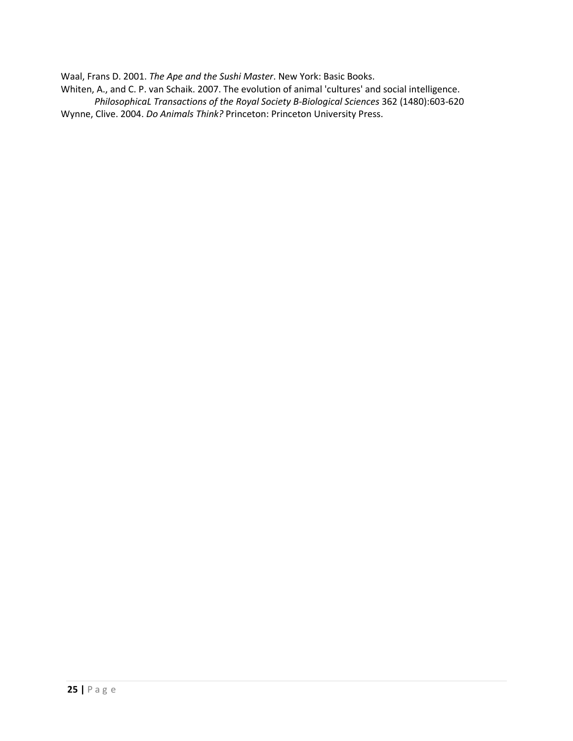Waal, Frans D. 2001. *The Ape and the Sushi Master*. New York: Basic Books.

Whiten, A., and C. P. van Schaik. 2007. The evolution of animal 'cultures' and social intelligence.

*PhilosophicaL Transactions of the Royal Society B-Biological Sciences* 362 (1480):603-620 Wynne, Clive. 2004. *Do Animals Think?* Princeton: Princeton University Press.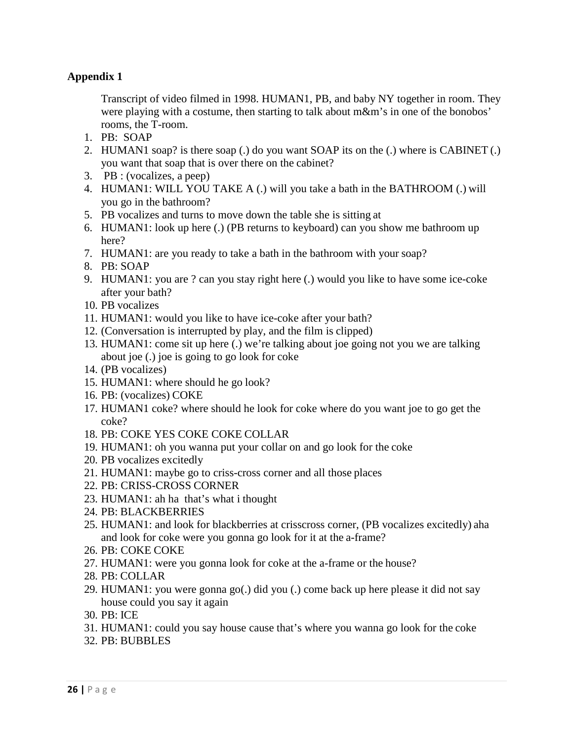## **Appendix 1**

Transcript of video filmed in 1998. HUMAN1, PB, and baby NY together in room. They were playing with a costume, then starting to talk about m&m's in one of the bonobos' rooms, the T-room.

- 1. PB: SOAP
- 2. HUMAN1 soap? is there soap (.) do you want SOAP its on the (.) where is CABINET (.) you want that soap that is over there on the cabinet?
- 3. PB : (vocalizes, a peep)
- 4. HUMAN1: WILL YOU TAKE A (.) will you take a bath in the BATHROOM (.) will you go in the bathroom?
- 5. PB vocalizes and turns to move down the table she is sitting at
- 6. HUMAN1: look up here (.) (PB returns to keyboard) can you show me bathroom up here?
- 7. HUMAN1: are you ready to take a bath in the bathroom with your soap?
- 8. PB: SOAP
- 9. HUMAN1: you are ? can you stay right here (.) would you like to have some ice-coke after your bath?
- 10. PB vocalizes
- 11. HUMAN1: would you like to have ice-coke after your bath?
- 12. (Conversation is interrupted by play, and the film is clipped)
- 13. HUMAN1: come sit up here (.) we're talking about joe going not you we are talking about joe (.) joe is going to go look for coke
- 14. (PB vocalizes)
- 15. HUMAN1: where should he go look?
- 16. PB: (vocalizes) COKE
- 17. HUMAN1 coke? where should he look for coke where do you want joe to go get the coke?
- 18. PB: COKE YES COKE COKE COLLAR
- 19. HUMAN1: oh you wanna put your collar on and go look for the coke
- 20. PB vocalizes excitedly
- 21. HUMAN1: maybe go to criss-cross corner and all those places
- 22. PB: CRISS-CROSS CORNER
- 23. HUMAN1: ah ha that's what i thought
- 24. PB: BLACKBERRIES
- 25. HUMAN1: and look for blackberries at crisscross corner, (PB vocalizes excitedly) aha and look for coke were you gonna go look for it at the a-frame?
- 26. PB: COKE COKE
- 27. HUMAN1: were you gonna look for coke at the a-frame or the house?
- 28. PB: COLLAR
- 29. HUMAN1: you were gonna go(.) did you (.) come back up here please it did not say house could you say it again
- 30. PB: ICE
- 31. HUMAN1: could you say house cause that's where you wanna go look for the coke
- 32. PB: BUBBLES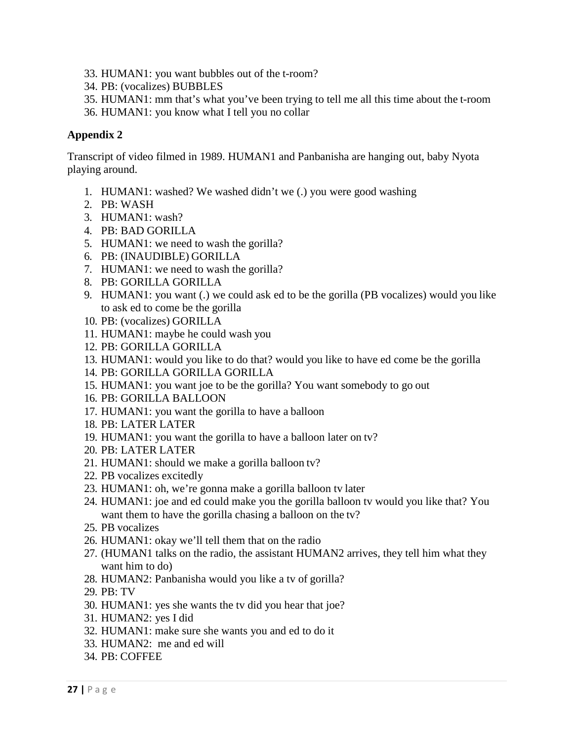- 33. HUMAN1: you want bubbles out of the t-room?
- 34. PB: (vocalizes) BUBBLES
- 35. HUMAN1: mm that's what you've been trying to tell me all this time about the t-room
- 36. HUMAN1: you know what I tell you no collar

## **Appendix 2**

Transcript of video filmed in 1989. HUMAN1 and Panbanisha are hanging out, baby Nyota playing around.

- 1. HUMAN1: washed? We washed didn't we (.) you were good washing
- 2. PB: WASH
- 3. HUMAN1: wash?
- 4. PB: BAD GORILLA
- 5. HUMAN1: we need to wash the gorilla?
- 6. PB: (INAUDIBLE) GORILLA
- 7. HUMAN1: we need to wash the gorilla?
- 8. PB: GORILLA GORILLA
- 9. HUMAN1: you want (.) we could ask ed to be the gorilla (PB vocalizes) would you like to ask ed to come be the gorilla
- 10. PB: (vocalizes) GORILLA
- 11. HUMAN1: maybe he could wash you
- 12. PB: GORILLA GORILLA
- 13. HUMAN1: would you like to do that? would you like to have ed come be the gorilla
- 14. PB: GORILLA GORILLA GORILLA
- 15. HUMAN1: you want joe to be the gorilla? You want somebody to go out
- 16. PB: GORILLA BALLOON
- 17. HUMAN1: you want the gorilla to have a balloon
- 18. PB: LATER LATER
- 19. HUMAN1: you want the gorilla to have a balloon later on tv?
- 20. PB: LATER LATER
- 21. HUMAN1: should we make a gorilla balloon tv?
- 22. PB vocalizes excitedly
- 23. HUMAN1: oh, we're gonna make a gorilla balloon tv later
- 24. HUMAN1: joe and ed could make you the gorilla balloon tv would you like that? You want them to have the gorilla chasing a balloon on the tv?
- 25. PB vocalizes
- 26. HUMAN1: okay we'll tell them that on the radio
- 27. (HUMAN1 talks on the radio, the assistant HUMAN2 arrives, they tell him what they want him to do)
- 28. HUMAN2: Panbanisha would you like a tv of gorilla?
- 29. PB: TV
- 30. HUMAN1: yes she wants the tv did you hear that joe?
- 31. HUMAN2: yes I did
- 32. HUMAN1: make sure she wants you and ed to do it
- 33. HUMAN2: me and ed will
- 34. PB: COFFEE